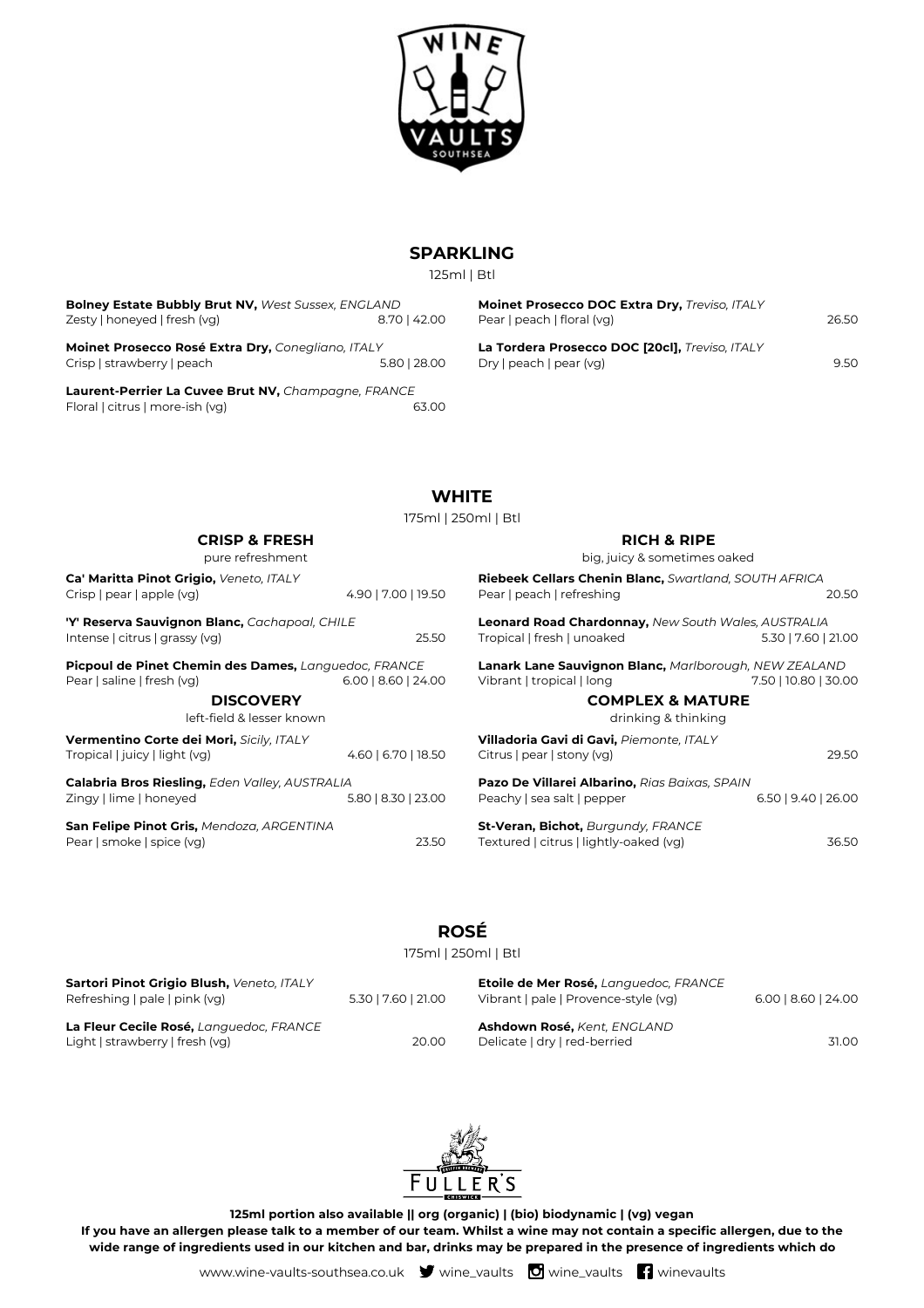

## **SPARKLING**

125ml | Btl

| <b>Bolney Estate Bubbly Brut NV, West Sussex, ENGLAND</b> |              |  |  |
|-----------------------------------------------------------|--------------|--|--|
| Zesty   honeyed   fresh (vg)                              | 8.70   42.00 |  |  |
| Mainet Dressees Desá Eytre Dry Concoliano ITALV           |              |  |  |

**Moinet Prosecco Rosé Extra Dry,** *Conegliano, ITALY* Crisp | strawberry | peach 5.80 | 28.00

**Laurent-Perrier La Cuvee Brut NV,** *Champagne, FRANCE* Floral | citrus | more-ish (vg) 63.00

**Moinet Prosecco DOC Extra Dry,** *Treviso, ITALY* Pear | peach | floral (vg) 26.50 **La Tordera Prosecco DOC [20cl],** *Treviso, ITALY*

Dry | peach | pear (vg) 9.50

**WHITE**

175ml | 250ml | Btl

| <b>CRISP &amp; FRESH</b><br>pure refreshment                                       |                       | <b>RICH &amp; RIPE</b><br>big, juicy & sometimes oaked                                    |                      |
|------------------------------------------------------------------------------------|-----------------------|-------------------------------------------------------------------------------------------|----------------------|
| Ca' Maritta Pinot Grigio, Veneto, ITALY<br>Crisp   pear   apple (vg)               | 4.90   7.00   19.50   | <b>Riebeek Cellars Chenin Blanc, Swartland, SOUTH AFRICA</b><br>Pear   peach   refreshing | 20.50                |
| 'Y' Reserva Sauvignon Blanc, Cachapoal, CHILE<br>Intense   citrus   grassy (vg)    | 25.50                 | <b>Leonard Road Chardonnay, New South Wales, AUSTRALIA</b><br>Tropical   fresh   unoaked  | 5.30   7.60   21.00  |
| Picpoul de Pinet Chemin des Dames, Languedoc, FRANCE<br>Pear   saline   fresh (vg) | $6.00$   8.60   24.00 | <b>Lanark Lane Sauvignon Blanc, Marlborough, NEW ZEALAND</b><br>Vibrant   tropical   long | 7.50   10.80   30.00 |
| <b>DISCOVERY</b><br>left-field & lesser known                                      |                       | <b>COMPLEX &amp; MATURE</b><br>drinking & thinking                                        |                      |
| Vermentino Corte dei Mori, Sicily, ITALY<br>Tropical   juicy   light (vg)          | 4.60   6.70   18.50   | Villadoria Gavi di Gavi, Piemonte, ITALY<br>Citrus   pear   stony (vg)                    | 29.50                |
| Calabria Bros Riesling, Eden Valley, AUSTRALIA<br>Zingy   lime   honeyed           | 5.80   8.30   23.00   | Pazo De Villarei Albarino, Rias Baixas, SPAIN<br>Peachy   sea salt   pepper               | 6.50   9.40   26.00  |
| San Felipe Pinot Gris, Mendoza, ARGENTINA<br>Pear   smoke   spice (vg)             | 23.50                 | St-Veran, Bichot, Burgundy, FRANCE<br>Textured   citrus   lightly-oaked (vg)              | 36.50                |

# **ROSÉ**

175ml | 250ml | Btl

| Sartori Pinot Grigio Blush, Veneto, ITALY<br>Refreshing   pale   pink (vg) | 5.30   7.60   21.00 | Etoile de Mer Rosé, Languedoc, FRANCE<br>Vibrant   pale   Provence-style (vg) | $6.00$   8.60   24.00 |
|----------------------------------------------------------------------------|---------------------|-------------------------------------------------------------------------------|-----------------------|
| La Fleur Cecile Rosé, Languedoc, FRANCE                                    |                     | Ashdown Rosé, Kent, ENGLAND                                                   |                       |
| Light   strawberry   fresh (vg)                                            | 20.00               | Delicate   dry   red-berried                                                  | 31.00                 |



**125ml portion also available || org (organic) | (bio) biodynamic | (vg) vegan If you have an allergen please talk to a member of our team. Whilst a wine may not contain a specific allergen, due to the wide range of ingredients used in our kitchen and bar, drinks may be prepared in the presence of ingredients which do**